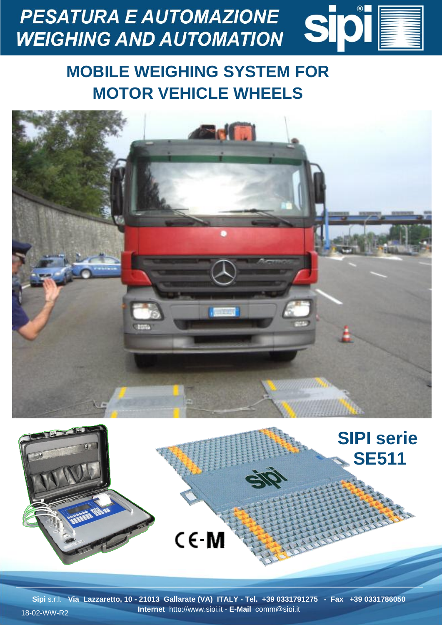

## **MOBILE WEIGHING SYSTEM FOR MOTOR VEHICLE WHEELS**





**Sipi** s.r.l. **Via Lazzaretto, 10 - 21013 Gallarate (VA) ITALY - Tel. +39 0331791275 - Fax +39 0331786050 Internet** http://www.sipi.it - **E-Mail** comm@sipi.it 18-02-WW-R2